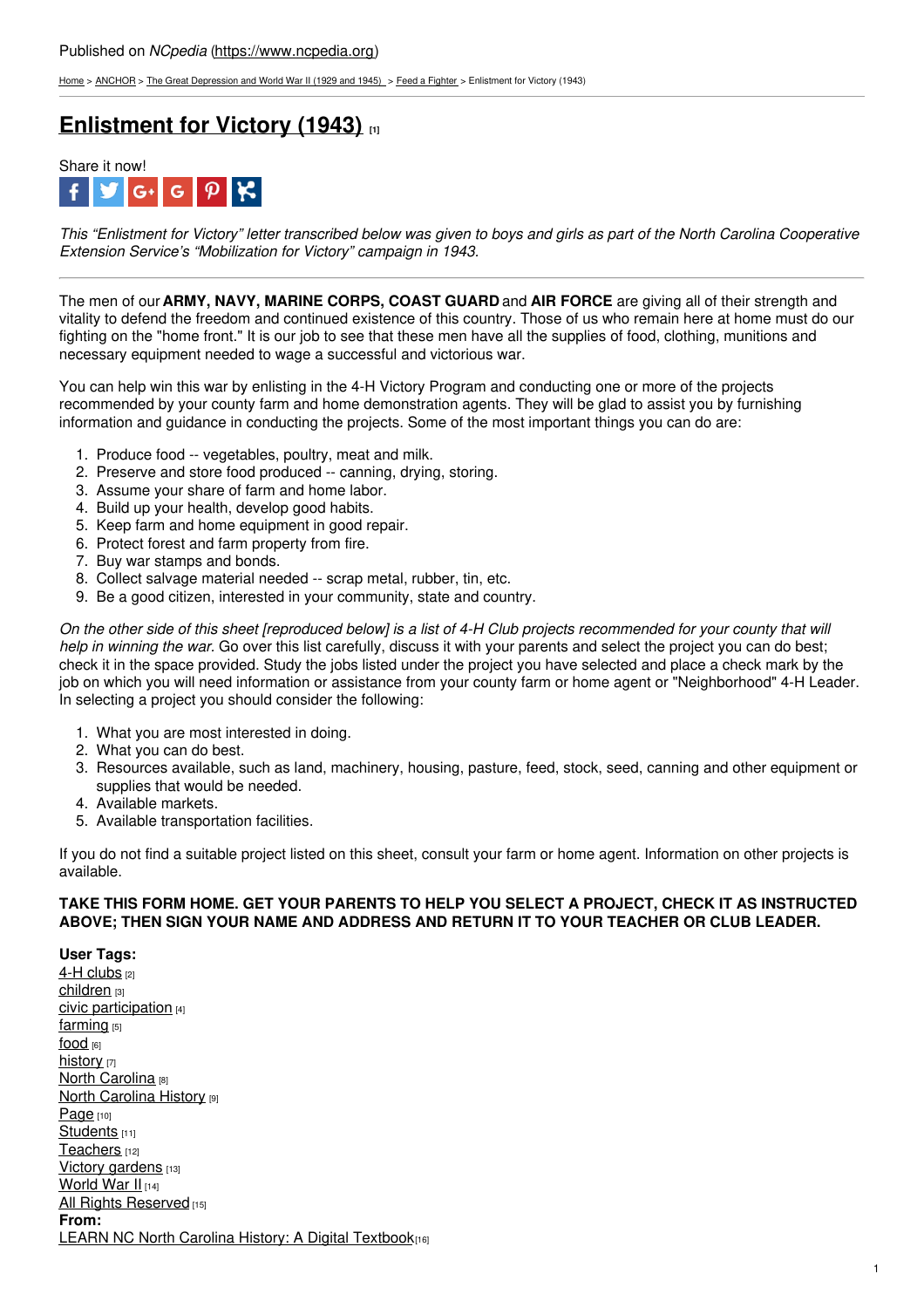[Home](https://www.ncpedia.org/) > [ANCHOR](https://www.ncpedia.org/anchor/anchor) > The Great [Depression](https://www.ncpedia.org/anchor/great-depression-and-world) and World War II (1929 and 1945) > Feed a [Fighter](https://www.ncpedia.org/anchor/feed-fighter) > Enlistment for Victory (1943)

## **[Enlistment](https://www.ncpedia.org/anchor/enlistment-victory-1943) for Victory (1943) [1]**



This "Enlistment for Victory" letter transcribed below was given to boys and girls as part of the North Carolina Cooperative *Extension Service's "Mobilization for Victory" campaign in 1943.*

The men of our **ARMY, NAVY, MARINE CORPS, COAST GUARD** and **AIR FORCE** are giving all of their strength and vitality to defend the freedom and continued existence of this country. Those of us who remain here at home must do our fighting on the "home front." It is our job to see that these men have all the supplies of food, clothing, munitions and necessary equipment needed to wage a successful and victorious war.

You can help win this war by enlisting in the 4-H Victory Program and conducting one or more of the projects recommended by your county farm and home demonstration agents. They will be glad to assist you by furnishing information and guidance in conducting the [projects.](http://www.social9.com) Some of the most important things you can do are:

- 1. Produce food -- vegetables, poultry, meat and milk.
- 2. Preserve and store food produced -- canning, drying, storing.
- 3. Assume your share of farm and home labor.
- 4. Build up your health, develop good habits.
- 5. Keep farm and home equipment in good repair.
- 6. Protect forest and farm property from fire.
- 7. Buy war stamps and bonds.
- 8. Collect salvage material needed -- scrap metal, rubber, tin, etc.
- 9. Be a good citizen, interested in your community, state and country.

On the other side of this sheet [reproduced below] is a list of 4-H Club projects recommended for your county that will *help in winning the war.* Go over this list carefully, discuss it with your parents and select the project you can do best; check it in the space provided. Study the jobs listed under the project you have selected and place a check mark by the job on which you will need information or assistance from your county farm or home agent or "Neighborhood" 4-H Leader. In selecting a project you should consider the following:

- 1. What you are most interested in doing.
- 2. What you can do best.
- 3. Resources available, such as land, machinery, housing, pasture, feed, stock, seed, canning and other equipment or supplies that would be needed.
- 4. Available markets.
- 5. Available transportation facilities.

If you do not find a suitable project listed on this sheet, consult your farm or home agent. Information on other projects is available.

## **TAKE THIS FORM HOME. GET YOUR PARENTS TO HELP YOU SELECT A PROJECT, CHECK IT AS INSTRUCTED ABOVE; THEN SIGN YOUR NAME AND ADDRESS AND RETURN IT TO YOUR TEACHER OR CLUB LEADER.**

**User Tags:** 4-H [clubs](https://www.ncpedia.org/category/user-tags/4-h-clubs) [2] [children](https://www.ncpedia.org/category/user-tags/children) [3] civic [participation](https://www.ncpedia.org/category/user-tags/civic) [4] [farming](https://www.ncpedia.org/category/user-tags/farming) [5] [food](https://www.ncpedia.org/category/user-tags/food) [6] [history](https://www.ncpedia.org/category/user-tags/history) [7] **North [Carolina](https://www.ncpedia.org/category/user-tags/north-carolina-5)** [8] **North [Carolina](https://www.ncpedia.org/category/user-tags/north-carolina-6) History [9]** [Page](https://www.ncpedia.org/category/user-tags/page) [10] [Students](https://www.ncpedia.org/category/user-tags/students) [11] [Teachers](https://www.ncpedia.org/category/user-tags/teachers) [12] Victory [gardens](https://www.ncpedia.org/category/user-tags/victory-gardens) [13] [World](https://www.ncpedia.org/category/user-tags/world-war-ii) War II [14] All Rights [Reserved](https://www.ncpedia.org/category/user-tags/all-rights) [15] **From:** LEARN NC North Carolina History: A Digital [Textbook](https://www.ncpedia.org/category/entry-source/learn-nc)[16]